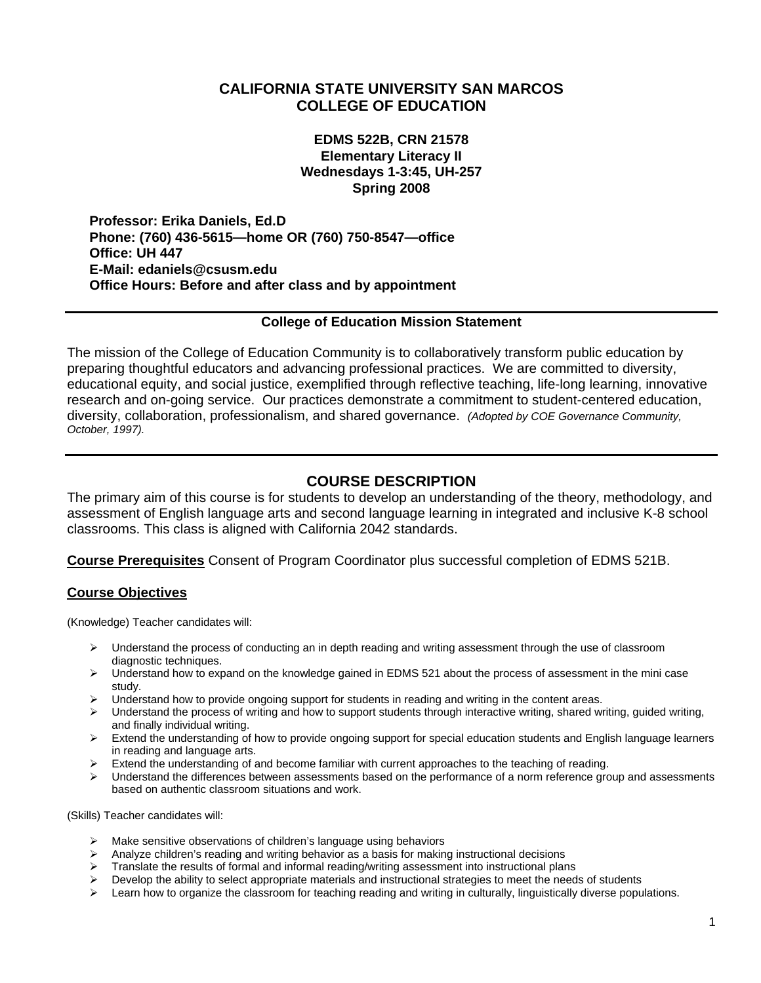# **CALIFORNIA STATE UNIVERSITY SAN MARCOS COLLEGE OF EDUCATION**

**EDMS 522B, CRN 21578 Elementary Literacy II Wednesdays 1-3:45, UH-257 Spring 2008** 

**Professor: Erika Daniels, Ed.D Phone: (760) 436-5615—home OR (760) 750-8547—office Office: UH 447 E-Mail: edaniels@csusm.edu Office Hours: Before and after class and by appointment** 

#### **College of Education Mission Statement**

The mission of the College of Education Community is to collaboratively transform public education by preparing thoughtful educators and advancing professional practices. We are committed to diversity, educational equity, and social justice, exemplified through reflective teaching, life-long learning, innovative research and on-going service. Our practices demonstrate a commitment to student-centered education, diversity, collaboration, professionalism, and shared governance. *(Adopted by COE Governance Community, October, 1997).* 

## **COURSE DESCRIPTION**

The primary aim of this course is for students to develop an understanding of the theory, methodology, and assessment of English language arts and second language learning in integrated and inclusive K-8 school classrooms. This class is aligned with California 2042 standards.

**Course Prerequisites** Consent of Program Coordinator plus successful completion of EDMS 521B.

#### **Course Objectives**

(Knowledge) Teacher candidates will:

- ¾ Understand the process of conducting an in depth reading and writing assessment through the use of classroom diagnostic techniques.
- $\triangleright$  Understand how to expand on the knowledge gained in EDMS 521 about the process of assessment in the mini case study.
- $\blacktriangleright$  Understand how to provide ongoing support for students in reading and writing in the content areas.
- ¾ Understand the process of writing and how to support students through interactive writing, shared writing, guided writing, and finally individual writing.
- ¾ Extend the understanding of how to provide ongoing support for special education students and English language learners in reading and language arts.
- $\triangleright$  Extend the understanding of and become familiar with current approaches to the teaching of reading.
- ¾ Understand the differences between assessments based on the performance of a norm reference group and assessments based on authentic classroom situations and work.

(Skills) Teacher candidates will:

- $\triangleright$  Make sensitive observations of children's language using behaviors
- $\triangleright$  Analyze children's reading and writing behavior as a basis for making instructional decisions
- $\triangleright$  Translate the results of formal and informal reading/writing assessment into instructional plans
- $\triangleright$  Develop the ability to select appropriate materials and instructional strategies to meet the needs of students
- $\triangleright$  Learn how to organize the classroom for teaching reading and writing in culturally, linguistically diverse populations.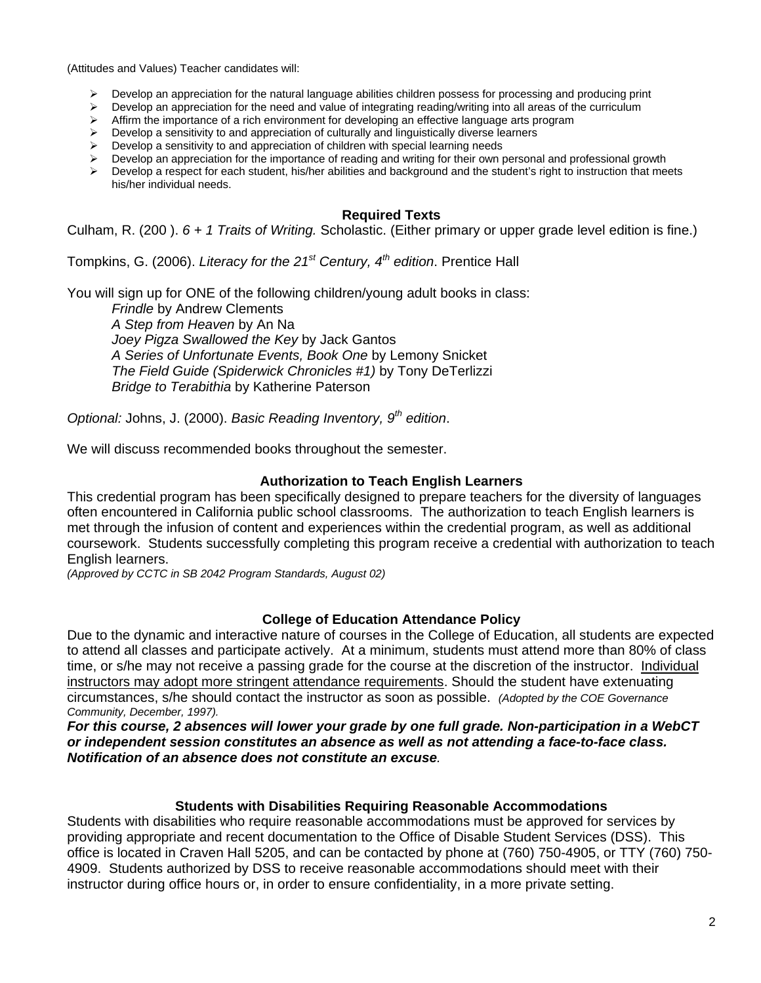(Attitudes and Values) Teacher candidates will:

- $\triangleright$  Develop an appreciation for the natural language abilities children possess for processing and producing print
- $\triangleright$  Develop an appreciation for the need and value of integrating reading/writing into all areas of the curriculum
- ¾ Affirm the importance of a rich environment for developing an effective language arts program
- ¾ Develop a sensitivity to and appreciation of culturally and linguistically diverse learners
- $\triangleright$  Develop a sensitivity to and appreciation of children with special learning needs
- $\triangleright$  Develop an appreciation for the importance of reading and writing for their own personal and professional growth
- $\triangleright$  Develop a respect for each student, his/her abilities and background and the student's right to instruction that meets his/her individual needs.

#### **Required Texts**

Culham, R. (200 ). *6 + 1 Traits of Writing.* Scholastic. (Either primary or upper grade level edition is fine.)

Tompkins, G. (2006). *Literacy for the 21st Century, 4th edition*. Prentice Hall

You will sign up for ONE of the following children/young adult books in class:

*Frindle* by Andrew Clements *A Step from Heaven* by An Na *Joey Pigza Swallowed the Key* by Jack Gantos *A Series of Unfortunate Events, Book One* by Lemony Snicket *The Field Guide (Spiderwick Chronicles #1)* by Tony DeTerlizzi *Bridge to Terabithia* by Katherine Paterson

*Optional:* Johns, J. (2000). *Basic Reading Inventory, 9th edition*.

We will discuss recommended books throughout the semester.

#### **Authorization to Teach English Learners**

This credential program has been specifically designed to prepare teachers for the diversity of languages often encountered in California public school classrooms. The authorization to teach English learners is met through the infusion of content and experiences within the credential program, as well as additional coursework. Students successfully completing this program receive a credential with authorization to teach English learners.

*(Approved by CCTC in SB 2042 Program Standards, August 02)*

#### **College of Education Attendance Policy**

Due to the dynamic and interactive nature of courses in the College of Education, all students are expected to attend all classes and participate actively. At a minimum, students must attend more than 80% of class time, or s/he may not receive a passing grade for the course at the discretion of the instructor. Individual instructors may adopt more stringent attendance requirements. Should the student have extenuating circumstances, s/he should contact the instructor as soon as possible. *(Adopted by the COE Governance Community, December, 1997).*

*For this course, 2 absences will lower your grade by one full grade. Non-participation in a WebCT or independent session constitutes an absence as well as not attending a face-to-face class. Notification of an absence does not constitute an excuse.* 

#### **Students with Disabilities Requiring Reasonable Accommodations**

Students with disabilities who require reasonable accommodations must be approved for services by providing appropriate and recent documentation to the Office of Disable Student Services (DSS). This office is located in Craven Hall 5205, and can be contacted by phone at (760) 750-4905, or TTY (760) 750- 4909. Students authorized by DSS to receive reasonable accommodations should meet with their instructor during office hours or, in order to ensure confidentiality, in a more private setting.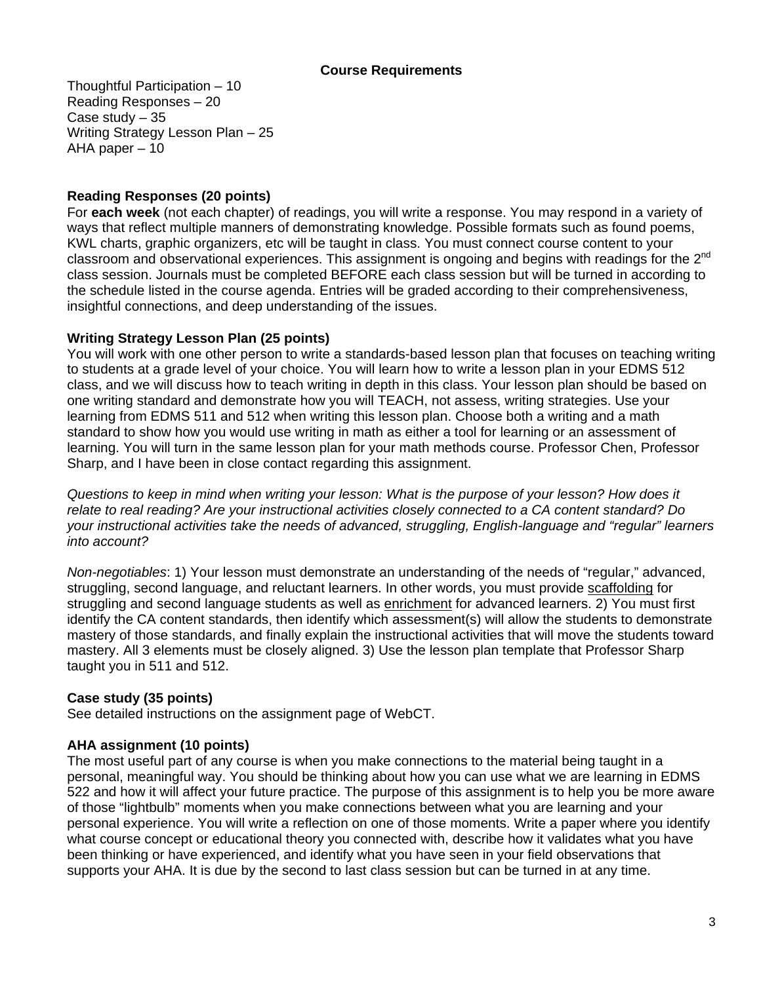### **Course Requirements**

Thoughtful Participation – 10 Reading Responses – 20 Case study – 35 Writing Strategy Lesson Plan – 25 AHA paper – 10

## **Reading Responses (20 points)**

For **each week** (not each chapter) of readings, you will write a response. You may respond in a variety of ways that reflect multiple manners of demonstrating knowledge. Possible formats such as found poems, KWL charts, graphic organizers, etc will be taught in class. You must connect course content to your classroom and observational experiences. This assignment is ongoing and begins with readings for the 2<sup>nd</sup> class session. Journals must be completed BEFORE each class session but will be turned in according to the schedule listed in the course agenda. Entries will be graded according to their comprehensiveness, insightful connections, and deep understanding of the issues.

## **Writing Strategy Lesson Plan (25 points)**

You will work with one other person to write a standards-based lesson plan that focuses on teaching writing to students at a grade level of your choice. You will learn how to write a lesson plan in your EDMS 512 class, and we will discuss how to teach writing in depth in this class. Your lesson plan should be based on one writing standard and demonstrate how you will TEACH, not assess, writing strategies. Use your learning from EDMS 511 and 512 when writing this lesson plan. Choose both a writing and a math standard to show how you would use writing in math as either a tool for learning or an assessment of learning. You will turn in the same lesson plan for your math methods course. Professor Chen, Professor Sharp, and I have been in close contact regarding this assignment.

*Questions to keep in mind when writing your lesson: What is the purpose of your lesson? How does it relate to real reading? Are your instructional activities closely connected to a CA content standard? Do your instructional activities take the needs of advanced, struggling, English-language and "regular" learners into account?* 

*Non-negotiables*: 1) Your lesson must demonstrate an understanding of the needs of "regular," advanced, struggling, second language, and reluctant learners. In other words, you must provide scaffolding for struggling and second language students as well as enrichment for advanced learners. 2) You must first identify the CA content standards, then identify which assessment(s) will allow the students to demonstrate mastery of those standards, and finally explain the instructional activities that will move the students toward mastery. All 3 elements must be closely aligned. 3) Use the lesson plan template that Professor Sharp taught you in 511 and 512.

## **Case study (35 points)**

See detailed instructions on the assignment page of WebCT.

## **AHA assignment (10 points)**

The most useful part of any course is when you make connections to the material being taught in a personal, meaningful way. You should be thinking about how you can use what we are learning in EDMS 522 and how it will affect your future practice. The purpose of this assignment is to help you be more aware of those "lightbulb" moments when you make connections between what you are learning and your personal experience. You will write a reflection on one of those moments. Write a paper where you identify what course concept or educational theory you connected with, describe how it validates what you have been thinking or have experienced, and identify what you have seen in your field observations that supports your AHA. It is due by the second to last class session but can be turned in at any time.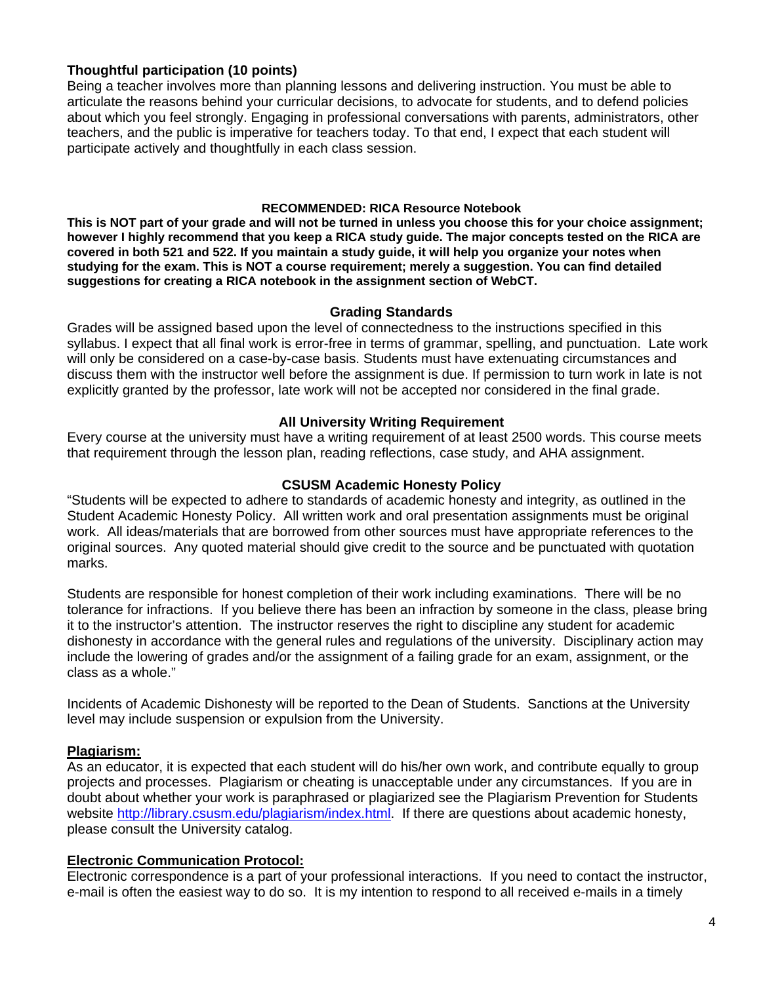## **Thoughtful participation (10 points)**

Being a teacher involves more than planning lessons and delivering instruction. You must be able to articulate the reasons behind your curricular decisions, to advocate for students, and to defend policies about which you feel strongly. Engaging in professional conversations with parents, administrators, other teachers, and the public is imperative for teachers today. To that end, I expect that each student will participate actively and thoughtfully in each class session.

#### **RECOMMENDED: RICA Resource Notebook**

**This is NOT part of your grade and will not be turned in unless you choose this for your choice assignment; however I highly recommend that you keep a RICA study guide. The major concepts tested on the RICA are covered in both 521 and 522. If you maintain a study guide, it will help you organize your notes when studying for the exam. This is NOT a course requirement; merely a suggestion. You can find detailed suggestions for creating a RICA notebook in the assignment section of WebCT.**

### **Grading Standards**

Grades will be assigned based upon the level of connectedness to the instructions specified in this syllabus. I expect that all final work is error-free in terms of grammar, spelling, and punctuation. Late work will only be considered on a case-by-case basis. Students must have extenuating circumstances and discuss them with the instructor well before the assignment is due. If permission to turn work in late is not explicitly granted by the professor, late work will not be accepted nor considered in the final grade.

## **All University Writing Requirement**

Every course at the university must have a writing requirement of at least 2500 words. This course meets that requirement through the lesson plan, reading reflections, case study, and AHA assignment.

## **CSUSM Academic Honesty Policy**

"Students will be expected to adhere to standards of academic honesty and integrity, as outlined in the Student Academic Honesty Policy. All written work and oral presentation assignments must be original work. All ideas/materials that are borrowed from other sources must have appropriate references to the original sources. Any quoted material should give credit to the source and be punctuated with quotation marks.

Students are responsible for honest completion of their work including examinations. There will be no tolerance for infractions. If you believe there has been an infraction by someone in the class, please bring it to the instructor's attention. The instructor reserves the right to discipline any student for academic dishonesty in accordance with the general rules and regulations of the university. Disciplinary action may include the lowering of grades and/or the assignment of a failing grade for an exam, assignment, or the class as a whole."

Incidents of Academic Dishonesty will be reported to the Dean of Students. Sanctions at the University level may include suspension or expulsion from the University.

## **Plagiarism:**

As an educator, it is expected that each student will do his/her own work, and contribute equally to group projects and processes. Plagiarism or cheating is unacceptable under any circumstances. If you are in doubt about whether your work is paraphrased or plagiarized see the Plagiarism Prevention for Students website http://library.csusm.edu/plagiarism/index.html. If there are questions about academic honesty, please consult the University catalog.

#### **Electronic Communication Protocol:**

Electronic correspondence is a part of your professional interactions. If you need to contact the instructor, e-mail is often the easiest way to do so. It is my intention to respond to all received e-mails in a timely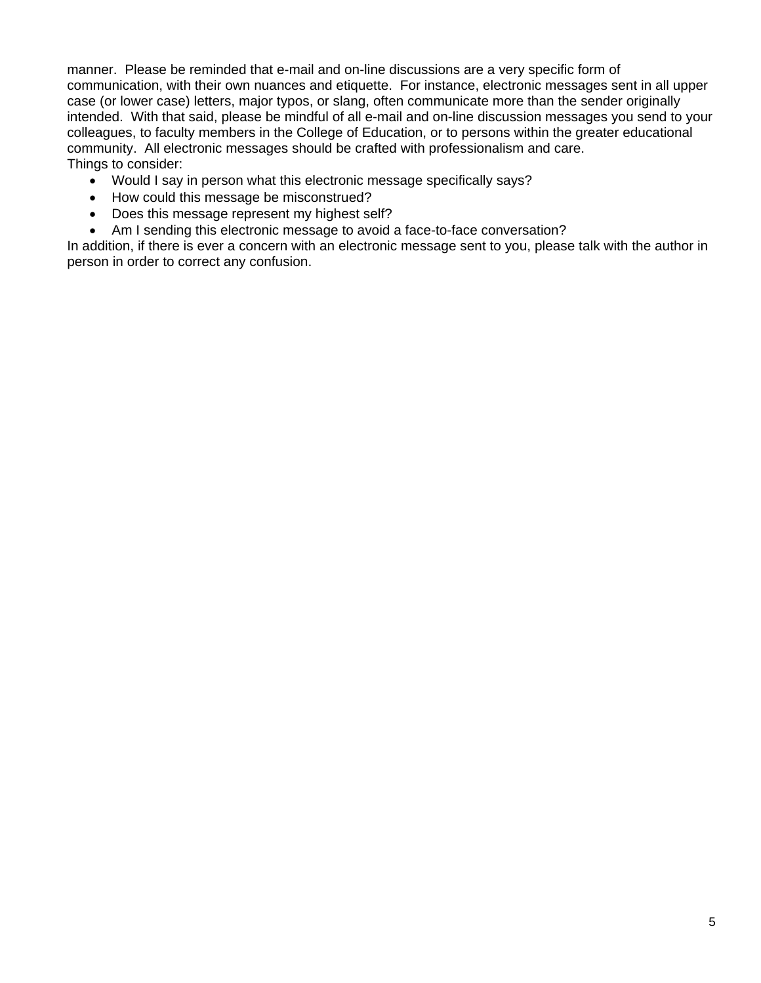manner. Please be reminded that e-mail and on-line discussions are a very specific form of communication, with their own nuances and etiquette. For instance, electronic messages sent in all upper case (or lower case) letters, major typos, or slang, often communicate more than the sender originally intended. With that said, please be mindful of all e-mail and on-line discussion messages you send to your colleagues, to faculty members in the College of Education, or to persons within the greater educational community. All electronic messages should be crafted with professionalism and care. Things to consider:

- Would I say in person what this electronic message specifically says?
- How could this message be misconstrued?
- Does this message represent my highest self?
- Am I sending this electronic message to avoid a face-to-face conversation?

In addition, if there is ever a concern with an electronic message sent to you, please talk with the author in person in order to correct any confusion.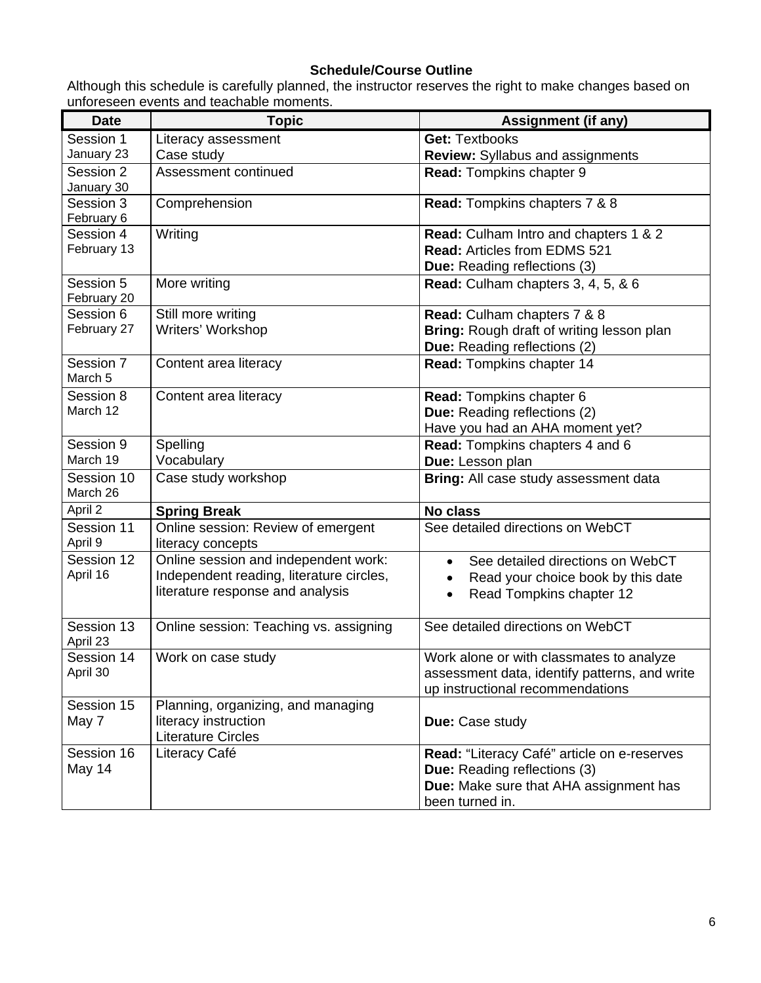# **Schedule/Course Outline**

Although this schedule is carefully planned, the instructor reserves the right to make changes based on unforeseen events and teachable moments.

| <b>Date</b>            | <b>Topic</b>                                            | <b>Assignment (if any)</b>                    |  |
|------------------------|---------------------------------------------------------|-----------------------------------------------|--|
| Session 1              | Literacy assessment                                     | <b>Get: Textbooks</b>                         |  |
| January 23             | Case study                                              | <b>Review:</b> Syllabus and assignments       |  |
| Session 2              | Assessment continued                                    | Read: Tompkins chapter 9                      |  |
| January 30             |                                                         |                                               |  |
| Session 3              | Comprehension                                           | Read: Tompkins chapters 7 & 8                 |  |
| February 6             |                                                         |                                               |  |
| Session 4              | Writing                                                 | Read: Culham Intro and chapters 1 & 2         |  |
| February 13            |                                                         | <b>Read: Articles from EDMS 521</b>           |  |
|                        |                                                         | <b>Due:</b> Reading reflections (3)           |  |
| Session 5              | More writing                                            | Read: Culham chapters 3, 4, 5, & 6            |  |
| February 20            |                                                         |                                               |  |
| Session 6              | Still more writing                                      | Read: Culham chapters 7 & 8                   |  |
| February 27            | Writers' Workshop                                       | Bring: Rough draft of writing lesson plan     |  |
|                        |                                                         | <b>Due:</b> Reading reflections (2)           |  |
| Session 7<br>March 5   | Content area literacy                                   | Read: Tompkins chapter 14                     |  |
| Session 8              | Content area literacy                                   | Read: Tompkins chapter 6                      |  |
| March 12               |                                                         | Due: Reading reflections (2)                  |  |
|                        |                                                         | Have you had an AHA moment yet?               |  |
| Session 9              | Spelling                                                | Read: Tompkins chapters 4 and 6               |  |
| March 19               | Vocabulary                                              | Due: Lesson plan                              |  |
| Session 10<br>March 26 | Case study workshop                                     | Bring: All case study assessment data         |  |
| April 2                | <b>Spring Break</b>                                     | <b>No class</b>                               |  |
| Session 11<br>April 9  | Online session: Review of emergent<br>literacy concepts | See detailed directions on WebCT              |  |
| Session 12             | Online session and independent work:                    | See detailed directions on WebCT<br>$\bullet$ |  |
| April 16               | Independent reading, literature circles,                | Read your choice book by this date            |  |
|                        | literature response and analysis                        | Read Tompkins chapter 12                      |  |
|                        |                                                         |                                               |  |
| Session 13<br>April 23 | Online session: Teaching vs. assigning                  | See detailed directions on WebCT              |  |
| Session 14             | Work on case study                                      | Work alone or with classmates to analyze      |  |
| April 30               |                                                         | assessment data, identify patterns, and write |  |
|                        |                                                         | up instructional recommendations              |  |
| Session 15             | Planning, organizing, and managing                      |                                               |  |
| May 7                  | literacy instruction                                    | Due: Case study                               |  |
|                        | <b>Literature Circles</b>                               |                                               |  |
| Session 16             | Literacy Café                                           | Read: "Literacy Café" article on e-reserves   |  |
| May 14                 |                                                         | <b>Due:</b> Reading reflections (3)           |  |
|                        |                                                         | Due: Make sure that AHA assignment has        |  |
|                        |                                                         | been turned in.                               |  |